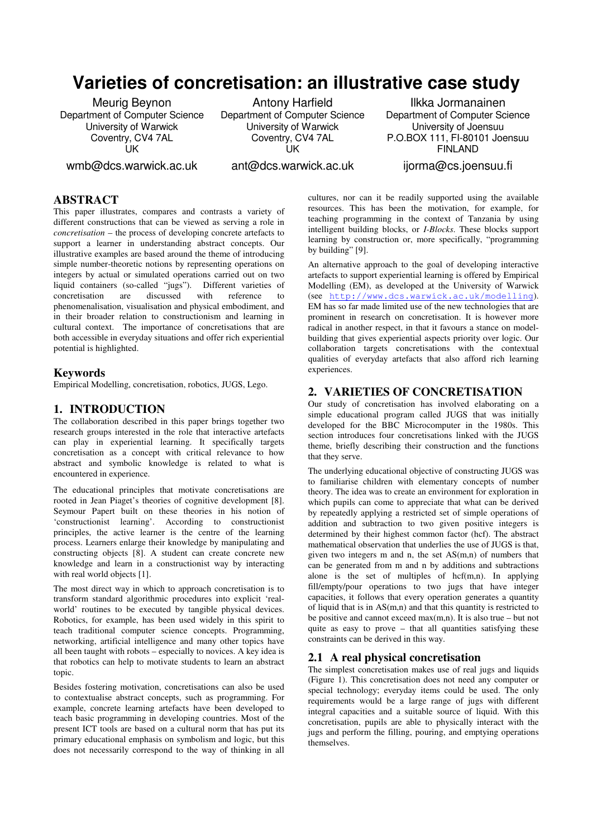# **Varieties of concretisation: an illustrative case study**

Meurig Beynon Department of Computer Science University of Warwick Coventry, CV4 7AL **UK** 

wmb@dcs.warwick.ac.uk

Antony Harfield Department of Computer Science University of Warwick Coventry, CV4 7AL **UK** 

ant@dcs.warwick.ac.uk

Ilkka Jormanainen Department of Computer Science University of Joensuu P.O.BOX 111, FI-80101 Joensuu FINLAND

ijorma@cs.joensuu.fi

**ABSTRACT**

This paper illustrates, compares and contrasts a variety of different constructions that can be viewed as serving a role in *concretisation* – the process of developing concrete artefacts to support a learner in understanding abstract concepts. Our illustrative examples are based around the theme of introducing simple number-theoretic notions by representing operations on integers by actual or simulated operations carried out on two liquid containers (so-called "jugs"). Different varieties of concretisation are discussed with reference to concretisation are discussed with reference to phenomenalisation, visualisation and physical embodiment, and in their broader relation to constructionism and learning in cultural context. The importance of concretisations that are both accessible in everyday situations and offer rich experiential potential is highlighted.

#### **Keywords**

Empirical Modelling, concretisation, robotics, JUGS, Lego.

# **1. INTRODUCTION**

The collaboration described in this paper brings together two research groups interested in the role that interactive artefacts can play in experiential learning. It specifically targets concretisation as a concept with critical relevance to how abstract and symbolic knowledge is related to what is encountered in experience.

The educational principles that motivate concretisations are rooted in Jean Piaget's theories of cognitive development [8]. Seymour Papert built on these theories in his notion of 'constructionist learning'. According to constructionist principles, the active learner is the centre of the learning process. Learners enlarge their knowledge by manipulating and constructing objects [8]. A student can create concrete new knowledge and learn in a constructionist way by interacting with real world objects [1].

The most direct way in which to approach concretisation is to transform standard algorithmic procedures into explicit 'realworld' routines to be executed by tangible physical devices. Robotics, for example, has been used widely in this spirit to teach traditional computer science concepts. Programming, networking, artificial intelligence and many other topics have all been taught with robots – especially to novices. A key idea is that robotics can help to motivate students to learn an abstract topic.

Besides fostering motivation, concretisations can also be used to contextualise abstract concepts, such as programming. For example, concrete learning artefacts have been developed to teach basic programming in developing countries. Most of the present ICT tools are based on a cultural norm that has put its primary educational emphasis on symbolism and logic, but this does not necessarily correspond to the way of thinking in all cultures, nor can it be readily supported using the available resources. This has been the motivation, for example, for teaching programming in the context of Tanzania by using intelligent building blocks, or *I-Blocks*. These blocks support learning by construction or, more specifically, "programming by building" [9].

An alternative approach to the goal of developing interactive artefacts to support experiential learning is offered by Empirical Modelling (EM), as developed at the University of Warwick (see http://www.dcs.warwick.ac.uk/modelling). EM has so far made limited use of the new technologies that are prominent in research on concretisation. It is however more radical in another respect, in that it favours a stance on modelbuilding that gives experiential aspects priority over logic. Our collaboration targets concretisations with the contextual qualities of everyday artefacts that also afford rich learning experiences.

### **2. VARIETIES OF CONCRETISATION**

Our study of concretisation has involved elaborating on a simple educational program called JUGS that was initially developed for the BBC Microcomputer in the 1980s. This section introduces four concretisations linked with the JUGS theme, briefly describing their construction and the functions that they serve.

The underlying educational objective of constructing JUGS was to familiarise children with elementary concepts of number theory. The idea was to create an environment for exploration in which pupils can come to appreciate that what can be derived by repeatedly applying a restricted set of simple operations of addition and subtraction to two given positive integers is determined by their highest common factor (hcf). The abstract mathematical observation that underlies the use of JUGS is that, given two integers m and n, the set AS(m,n) of numbers that can be generated from m and n by additions and subtractions alone is the set of multiples of hcf(m,n). In applying fill/empty/pour operations to two jugs that have integer capacities, it follows that every operation generates a quantity of liquid that is in AS(m,n) and that this quantity is restricted to be positive and cannot exceed  $max(m,n)$ . It is also true – but not quite as easy to prove – that all quantities satisfying these constraints can be derived in this way.

# **2.1 A real physical concretisation**

The simplest concretisation makes use of real jugs and liquids (Figure 1). This concretisation does not need any computer or special technology; everyday items could be used. The only requirements would be a large range of jugs with different integral capacities and a suitable source of liquid. With this concretisation, pupils are able to physically interact with the jugs and perform the filling, pouring, and emptying operations themselves.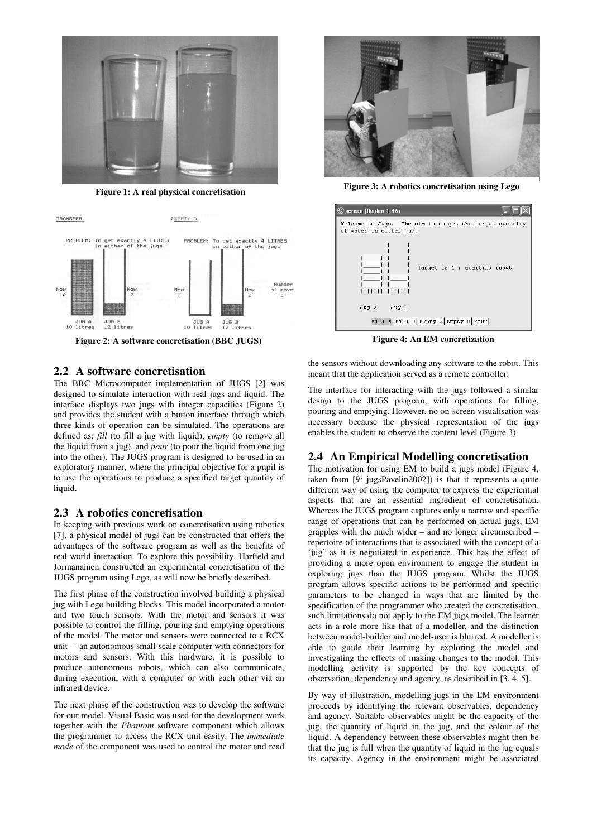

**Figure 1: A real physical concretisation** 



**Figure 2: A software concretisation (BBC JUGS)** Figure 4: An EM concretization

#### **2.2 A software concretisation**

The BBC Microcomputer implementation of JUGS [2] was designed to simulate interaction with real jugs and liquid. The interface displays two jugs with integer capacities (Figure 2) and provides the student with a button interface through which three kinds of operation can be simulated. The operations are defined as: *fill* (to fill a jug with liquid), *empty* (to remove all the liquid from a jug), and *pour* (to pour the liquid from one jug into the other). The JUGS program is designed to be used in an exploratory manner, where the principal objective for a pupil is to use the operations to produce a specified target quantity of liquid.

# **2.3 A robotics concretisation**

In keeping with previous work on concretisation using robotics [7], a physical model of jugs can be constructed that offers the advantages of the software program as well as the benefits of real-world interaction. To explore this possibility, Harfield and Jormanainen constructed an experimental concretisation of the JUGS program using Lego, as will now be briefly described.

The first phase of the construction involved building a physical jug with Lego building blocks. This model incorporated a motor and two touch sensors. With the motor and sensors it was possible to control the filling, pouring and emptying operations of the model. The motor and sensors were connected to a RCX unit – an autonomous small-scale computer with connectors for motors and sensors. With this hardware, it is possible to produce autonomous robots, which can also communicate, during execution, with a computer or with each other via an infrared device.

The next phase of the construction was to develop the software for our model. Visual Basic was used for the development work together with the *Phantom* software component which allows the programmer to access the RCX unit easily. The *immediate mode* of the component was used to control the motor and read



**Figure 3: A robotics concretisation using Lego** 

| C screen (tkeden 1.46)                                                            |
|-----------------------------------------------------------------------------------|
| Welcome to Jugs. The aim is to get the target quantity<br>of water in either jug. |
| Target is 1 : awaiting input                                                      |
| Juq A Juq B                                                                       |
| Fill A Fill B Empty A Empty B Pour                                                |

the sensors without downloading any software to the robot. This meant that the application served as a remote controller.

The interface for interacting with the jugs followed a similar design to the JUGS program, with operations for filling, pouring and emptying. However, no on-screen visualisation was necessary because the physical representation of the jugs enables the student to observe the content level (Figure 3).

# **2.4 An Empirical Modelling concretisation**

The motivation for using EM to build a jugs model (Figure 4, taken from [9: jugsPavelin2002]) is that it represents a quite different way of using the computer to express the experiential aspects that are an essential ingredient of concretisation. Whereas the JUGS program captures only a narrow and specific range of operations that can be performed on actual jugs, EM grapples with the much wider – and no longer circumscribed – repertoire of interactions that is associated with the concept of a 'jug' as it is negotiated in experience. This has the effect of providing a more open environment to engage the student in exploring jugs than the JUGS program. Whilst the JUGS program allows specific actions to be performed and specific parameters to be changed in ways that are limited by the specification of the programmer who created the concretisation, such limitations do not apply to the EM jugs model. The learner acts in a role more like that of a modeller, and the distinction between model-builder and model-user is blurred. A modeller is able to guide their learning by exploring the model and investigating the effects of making changes to the model. This modelling activity is supported by the key concepts of observation, dependency and agency, as described in [3, 4, 5].

By way of illustration, modelling jugs in the EM environment proceeds by identifying the relevant observables, dependency and agency. Suitable observables might be the capacity of the jug, the quantity of liquid in the jug, and the colour of the liquid. A dependency between these observables might then be that the jug is full when the quantity of liquid in the jug equals its capacity. Agency in the environment might be associated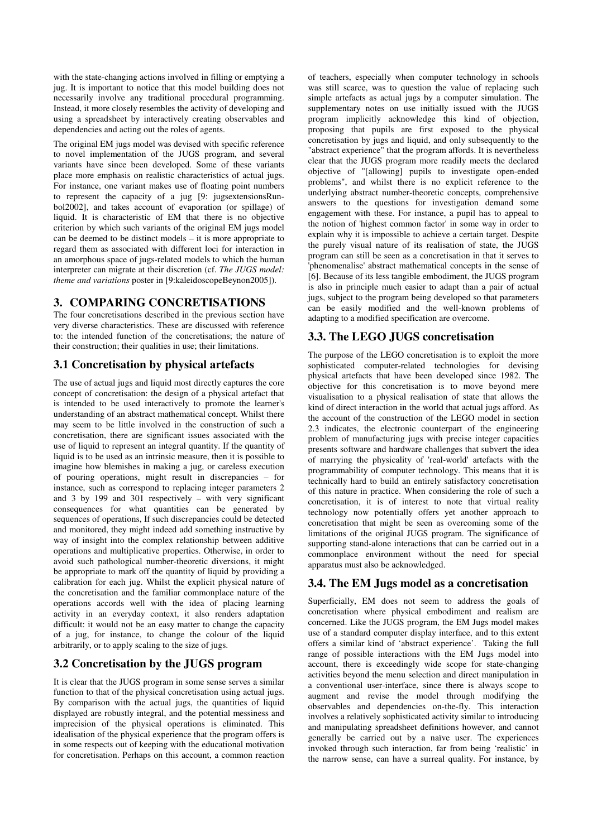with the state-changing actions involved in filling or emptying a jug. It is important to notice that this model building does not necessarily involve any traditional procedural programming. Instead, it more closely resembles the activity of developing and using a spreadsheet by interactively creating observables and dependencies and acting out the roles of agents.

The original EM jugs model was devised with specific reference to novel implementation of the JUGS program, and several variants have since been developed. Some of these variants place more emphasis on realistic characteristics of actual jugs. For instance, one variant makes use of floating point numbers to represent the capacity of a jug [9: jugsextensionsRunbol2002], and takes account of evaporation (or spillage) of liquid. It is characteristic of EM that there is no objective criterion by which such variants of the original EM jugs model can be deemed to be distinct models – it is more appropriate to regard them as associated with different loci for interaction in an amorphous space of jugs-related models to which the human interpreter can migrate at their discretion (cf. *The JUGS model: theme and variations* poster in [9:kaleidoscopeBeynon2005]).

# **3. COMPARING CONCRETISATIONS**

The four concretisations described in the previous section have very diverse characteristics. These are discussed with reference to: the intended function of the concretisations; the nature of their construction; their qualities in use; their limitations.

# **3.1 Concretisation by physical artefacts**

The use of actual jugs and liquid most directly captures the core concept of concretisation: the design of a physical artefact that is intended to be used interactively to promote the learner's understanding of an abstract mathematical concept. Whilst there may seem to be little involved in the construction of such a concretisation, there are significant issues associated with the use of liquid to represent an integral quantity. If the quantity of liquid is to be used as an intrinsic measure, then it is possible to imagine how blemishes in making a jug, or careless execution of pouring operations, might result in discrepancies – for instance, such as correspond to replacing integer parameters 2 and 3 by 199 and 301 respectively – with very significant consequences for what quantities can be generated by sequences of operations, If such discrepancies could be detected and monitored, they might indeed add something instructive by way of insight into the complex relationship between additive operations and multiplicative properties. Otherwise, in order to avoid such pathological number-theoretic diversions, it might be appropriate to mark off the quantity of liquid by providing a calibration for each jug. Whilst the explicit physical nature of the concretisation and the familiar commonplace nature of the operations accords well with the idea of placing learning activity in an everyday context, it also renders adaptation difficult: it would not be an easy matter to change the capacity of a jug, for instance, to change the colour of the liquid arbitrarily, or to apply scaling to the size of jugs.

# **3.2 Concretisation by the JUGS program**

It is clear that the JUGS program in some sense serves a similar function to that of the physical concretisation using actual jugs. By comparison with the actual jugs, the quantities of liquid displayed are robustly integral, and the potential messiness and imprecision of the physical operations is eliminated. This idealisation of the physical experience that the program offers is in some respects out of keeping with the educational motivation for concretisation. Perhaps on this account, a common reaction

of teachers, especially when computer technology in schools was still scarce, was to question the value of replacing such simple artefacts as actual jugs by a computer simulation. The supplementary notes on use initially issued with the JUGS program implicitly acknowledge this kind of objection, proposing that pupils are first exposed to the physical concretisation by jugs and liquid, and only subsequently to the "abstract experience" that the program affords. It is nevertheless clear that the JUGS program more readily meets the declared objective of "[allowing] pupils to investigate open-ended problems", and whilst there is no explicit reference to the underlying abstract number-theoretic concepts, comprehensive answers to the questions for investigation demand some engagement with these. For instance, a pupil has to appeal to the notion of 'highest common factor' in some way in order to explain why it is impossible to achieve a certain target. Despite the purely visual nature of its realisation of state, the JUGS program can still be seen as a concretisation in that it serves to 'phenomenalise' abstract mathematical concepts in the sense of [6]. Because of its less tangible embodiment, the JUGS program is also in principle much easier to adapt than a pair of actual jugs, subject to the program being developed so that parameters can be easily modified and the well-known problems of adapting to a modified specification are overcome.

# **3.3. The LEGO JUGS concretisation**

The purpose of the LEGO concretisation is to exploit the more sophisticated computer-related technologies for devising physical artefacts that have been developed since 1982. The objective for this concretisation is to move beyond mere visualisation to a physical realisation of state that allows the kind of direct interaction in the world that actual jugs afford. As the account of the construction of the LEGO model in section 2.3 indicates, the electronic counterpart of the engineering problem of manufacturing jugs with precise integer capacities presents software and hardware challenges that subvert the idea of marrying the physicality of 'real-world' artefacts with the programmability of computer technology. This means that it is technically hard to build an entirely satisfactory concretisation of this nature in practice. When considering the role of such a concretisation, it is of interest to note that virtual reality technology now potentially offers yet another approach to concretisation that might be seen as overcoming some of the limitations of the original JUGS program. The significance of supporting stand-alone interactions that can be carried out in a commonplace environment without the need for special apparatus must also be acknowledged.

# **3.4. The EM Jugs model as a concretisation**

Superficially, EM does not seem to address the goals of concretisation where physical embodiment and realism are concerned. Like the JUGS program, the EM Jugs model makes use of a standard computer display interface, and to this extent offers a similar kind of 'abstract experience'. Taking the full range of possible interactions with the EM Jugs model into account, there is exceedingly wide scope for state-changing activities beyond the menu selection and direct manipulation in a conventional user-interface, since there is always scope to augment and revise the model through modifying the observables and dependencies on-the-fly. This interaction involves a relatively sophisticated activity similar to introducing and manipulating spreadsheet definitions however, and cannot generally be carried out by a naïve user. The experiences invoked through such interaction, far from being 'realistic' in the narrow sense, can have a surreal quality. For instance, by